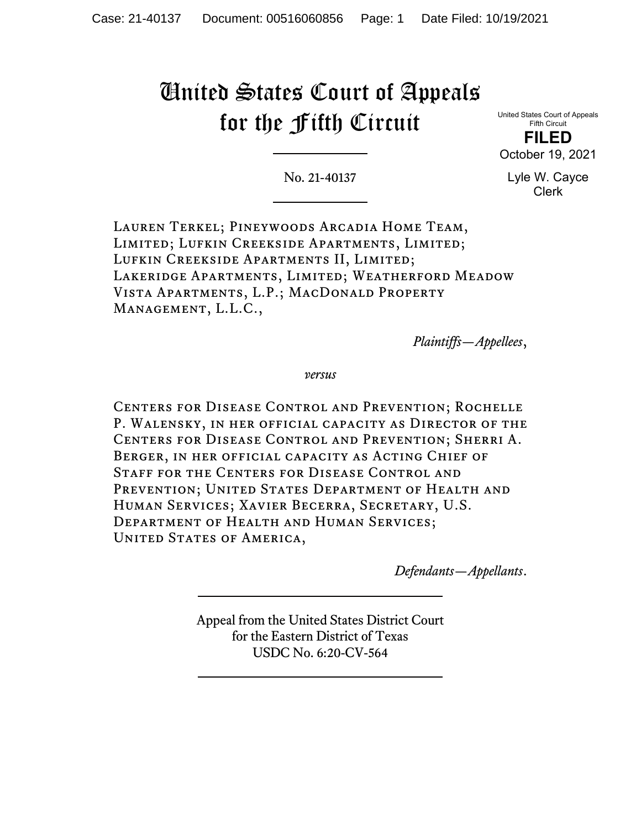## United States Court of Appeals for the Fifth Circuit

United States Court of Appeals Fifth Circuit

**FILED** October 19, 2021

No. 21-40137

Lyle W. Cayce Clerk

Lauren Terkel; Pineywoods Arcadia Home Team, Limited; Lufkin Creekside Apartments, Limited; Lufkin Creekside Apartments II, Limited; Lakeridge Apartments, Limited; Weatherford Meadow Vista Apartments, L.P.; MacDonald Property Management, L.L.C.,

*Plaintiffs—Appellees*,

*versus*

Centers for Disease Control and Prevention; Rochelle P. Walensky, in her official capacity as Director of the Centers for Disease Control and Prevention; Sherri A. Berger, in her official capacity as Acting Chief of Staff for the Centers for Disease Control and PREVENTION; UNITED STATES DEPARTMENT OF HEALTH AND Human Services; Xavier Becerra, Secretary, U.S. Department of Health and Human Services; UNITED STATES OF AMERICA,

*Defendants—Appellants*.

Appeal from the United States District Court for the Eastern District of Texas USDC No. 6:20-CV-564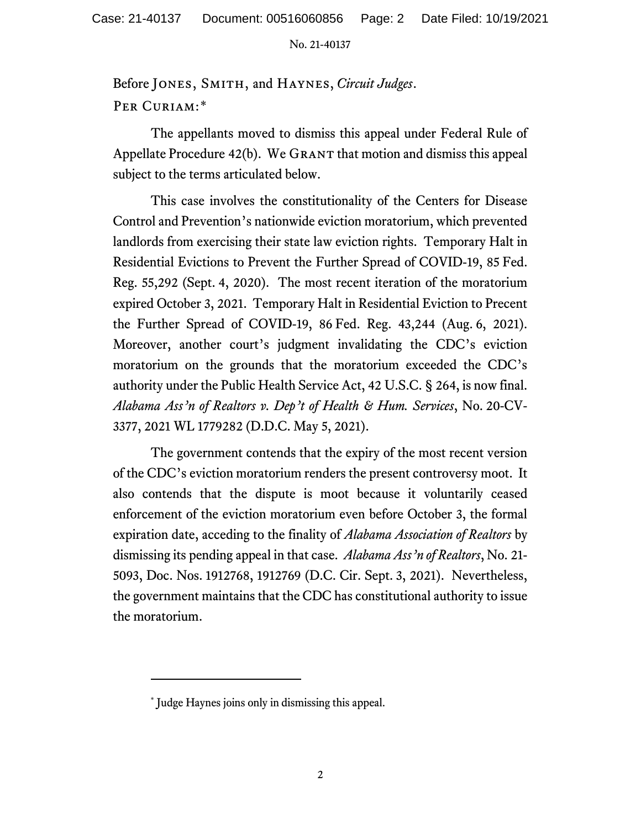No. 21-40137

Before Jones, Smith, and Haynes, *Circuit Judges*. PER CURIAM:[\\*](#page-1-0)

The appellants moved to dismiss this appeal under Federal Rule of Appellate Procedure  $42(b)$ . We GRANT that motion and dismiss this appeal subject to the terms articulated below.

This case involves the constitutionality of the Centers for Disease Control and Prevention's nationwide eviction moratorium, which prevented landlords from exercising their state law eviction rights. Temporary Halt in Residential Evictions to Prevent the Further Spread of COVID-19, 85 Fed. Reg. 55,292 (Sept. 4, 2020). The most recent iteration of the moratorium expired October 3, 2021. Temporary Halt in Residential Eviction to Precent the Further Spread of COVID-19, 86 Fed. Reg. 43,244 (Aug. 6, 2021). Moreover, another court's judgment invalidating the CDC's eviction moratorium on the grounds that the moratorium exceeded the CDC's authority under the Public Health Service Act, 42 U.S.C. § 264, is now final. *Alabama Ass'n of Realtors v. Dep't of Health & Hum. Services*, No. 20-CV-3377, 2021 WL 1779282 (D.D.C. May 5, 2021).

The government contends that the expiry of the most recent version of the CDC's eviction moratorium renders the present controversy moot. It also contends that the dispute is moot because it voluntarily ceased enforcement of the eviction moratorium even before October 3, the formal expiration date, acceding to the finality of *Alabama Association of Realtors* by dismissing its pending appeal in that case. *Alabama Ass'n of Realtors*, No. 21- 5093, Doc. Nos. 1912768, 1912769 (D.C. Cir. Sept. 3, 2021). Nevertheless, the government maintains that the CDC has constitutional authority to issue the moratorium.

<span id="page-1-0"></span><sup>\*</sup> Judge Haynes joins only in dismissing this appeal.